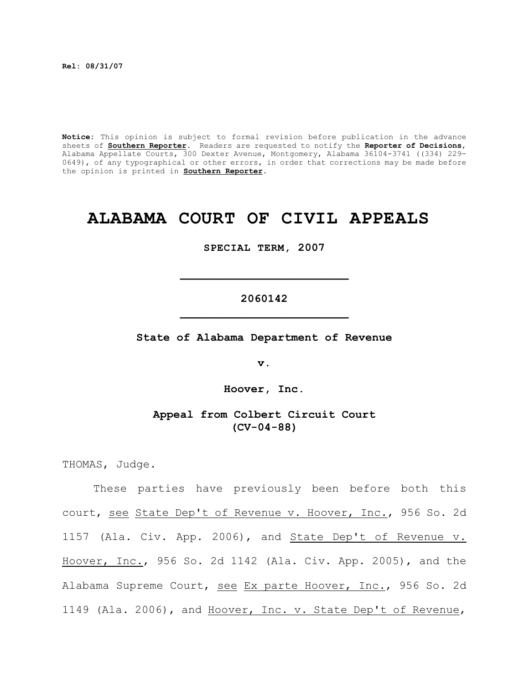**Rel: 08/31/07** 

**Notice:** This opinion is subject to formal revision before publication in the advance sheets of **Southern Reporter**. Readers are requested to notify the **Reporter of Decisions**, Alabama Appellate Courts, 300 Dexter Avenue, Montgomery, Alabama 36104-3741 ((334) 229- 0649), of any typographical or other errors, in order that corrections may be made before the opinion is printed in **Southern Reporter**.

# **ALABAMA COURT OF CIVIL APPEALS**

**SPECIAL TERM, 2007**

## **2060142 \_\_\_\_\_\_\_\_\_\_\_\_\_\_\_\_\_\_\_\_\_\_\_\_\_**

**\_\_\_\_\_\_\_\_\_\_\_\_\_\_\_\_\_\_\_\_\_\_\_\_\_**

**State of Alabama Department of Revenue**

**v.**

**Hoover, Inc.**

**Appeal from Colbert Circuit Court (CV-04-88)**

THOMAS, Judge.

These parties have previously been before both this court, see State Dep't of Revenue v. Hoover, Inc., 956 So. 2d 1157 (Ala. Civ. App. 2006), and State Dep't of Revenue v. Hoover, Inc., 956 So. 2d 1142 (Ala. Civ. App. 2005), and the Alabama Supreme Court, see Ex parte Hoover, Inc., 956 So. 2d 1149 (Ala. 2006), and Hoover, Inc. v. State Dep't of Revenue,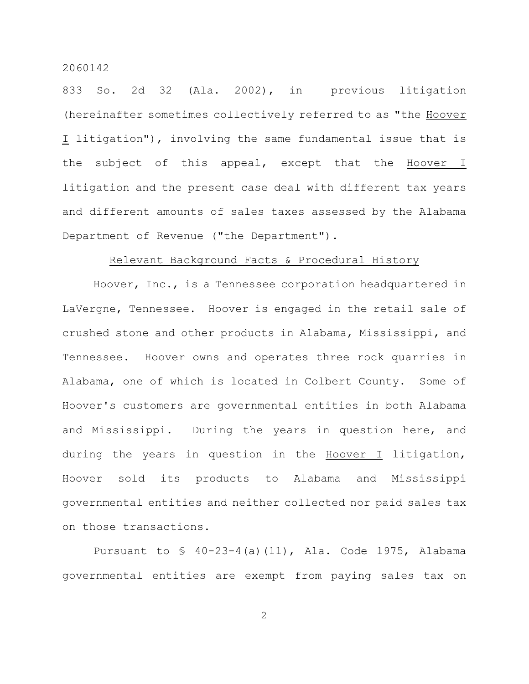833 So. 2d 32 (Ala. 2002), in previous litigation (hereinafter sometimes collectively referred to as "the Hoover I litigation"), involving the same fundamental issue that is the subject of this appeal, except that the Hoover I litigation and the present case deal with different tax years and different amounts of sales taxes assessed by the Alabama Department of Revenue ("the Department").

#### Relevant Background Facts & Procedural History

Hoover, Inc., is a Tennessee corporation headquartered in LaVergne, Tennessee. Hoover is engaged in the retail sale of crushed stone and other products in Alabama, Mississippi, and Tennessee. Hoover owns and operates three rock quarries in Alabama, one of which is located in Colbert County. Some of Hoover's customers are governmental entities in both Alabama and Mississippi. During the years in question here, and during the years in question in the Hoover I litigation, Hoover sold its products to Alabama and Mississippi governmental entities and neither collected nor paid sales tax on those transactions.

Pursuant to  $\frac{1}{2}$  40-23-4(a)(11), Ala. Code 1975, Alabama governmental entities are exempt from paying sales tax on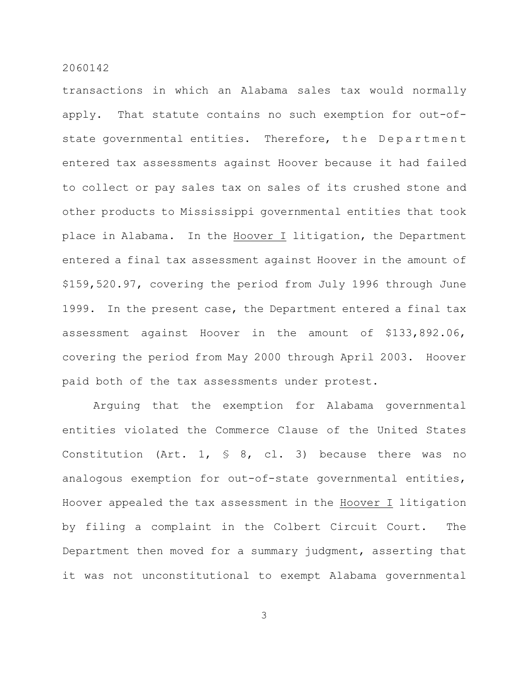transactions in which an Alabama sales tax would normally apply. That statute contains no such exemption for out-ofstate governmental entities. Therefore, the Department entered tax assessments against Hoover because it had failed to collect or pay sales tax on sales of its crushed stone and other products to Mississippi governmental entities that took place in Alabama. In the Hoover I litigation, the Department entered a final tax assessment against Hoover in the amount of \$159,520.97, covering the period from July 1996 through June 1999. In the present case, the Department entered a final tax assessment against Hoover in the amount of \$133,892.06, covering the period from May 2000 through April 2003. Hoover paid both of the tax assessments under protest.

Arguing that the exemption for Alabama governmental entities violated the Commerce Clause of the United States Constitution (Art. 1,  $\frac{1}{5}$  8, cl. 3) because there was no analogous exemption for out-of-state governmental entities, Hoover appealed the tax assessment in the  $H_{\text{Oover}}$  I litigation by filing a complaint in the Colbert Circuit Court. The Department then moved for a summary judgment, asserting that it was not unconstitutional to exempt Alabama governmental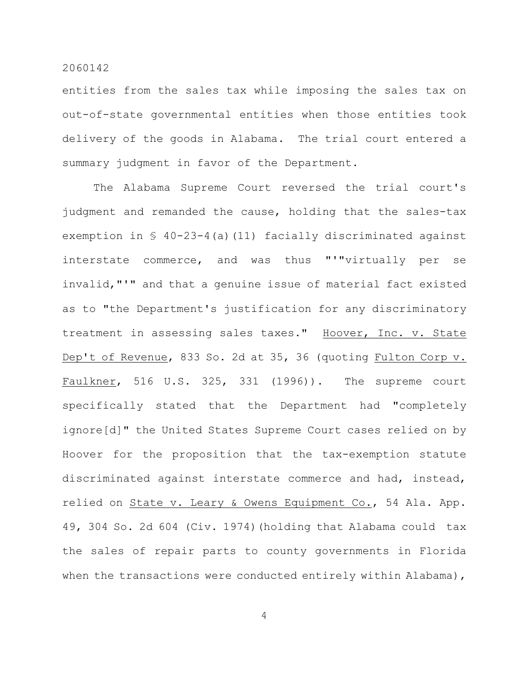entities from the sales tax while imposing the sales tax on out-of-state governmental entities when those entities took delivery of the goods in Alabama. The trial court entered a summary judgment in favor of the Department.

The Alabama Supreme Court reversed the trial court's judgment and remanded the cause, holding that the sales-tax exemption in § 40-23-4(a)(11) facially discriminated against interstate commerce, and was thus "'"virtually per se invalid,"'" and that a genuine issue of material fact existed as to "the Department's justification for any discriminatory treatment in assessing sales taxes." Hoover, Inc. v. State Dep't of Revenue, 833 So. 2d at 35, 36 (quoting Fulton Corp v. Faulkner, 516 U.S. 325, 331 (1996)). The supreme court specifically stated that the Department had "completely ignore[d]" the United States Supreme Court cases relied on by Hoover for the proposition that the tax-exemption statute discriminated against interstate commerce and had, instead, relied on State v. Leary & Owens Equipment Co., 54 Ala. App. 49, 304 So. 2d 604 (Civ. 1974)(holding that Alabama could tax the sales of repair parts to county governments in Florida when the transactions were conducted entirely within Alabama),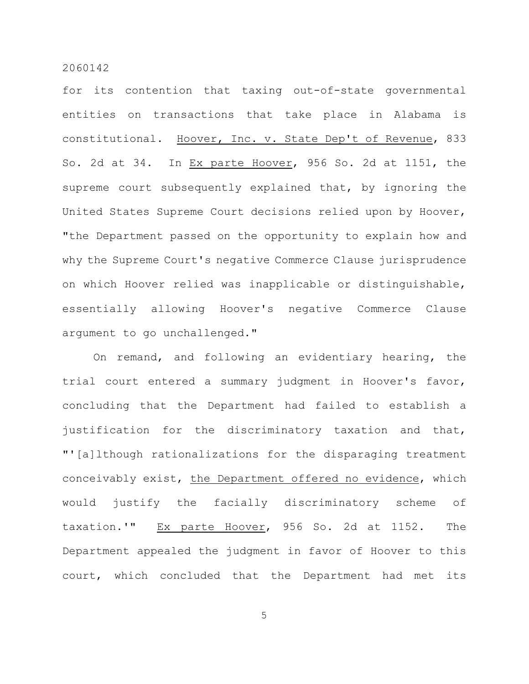for its contention that taxing out-of-state governmental entities on transactions that take place in Alabama is constitutional. Hoover, Inc. v. State Dep't of Revenue, 833 So. 2d at 34. In Ex parte Hoover, 956 So. 2d at 1151, the supreme court subsequently explained that, by ignoring the United States Supreme Court decisions relied upon by Hoover, "the Department passed on the opportunity to explain how and why the Supreme Court's negative Commerce Clause jurisprudence on which Hoover relied was inapplicable or distinguishable, essentially allowing Hoover's negative Commerce Clause argument to go unchallenged."

On remand, and following an evidentiary hearing, the trial court entered a summary judgment in Hoover's favor, concluding that the Department had failed to establish a justification for the discriminatory taxation and that, "'[a]lthough rationalizations for the disparaging treatment conceivably exist, the Department offered no evidence, which would justify the facially discriminatory scheme of taxation.'" Ex parte Hoover, 956 So. 2d at 1152. The Department appealed the judgment in favor of Hoover to this court, which concluded that the Department had met its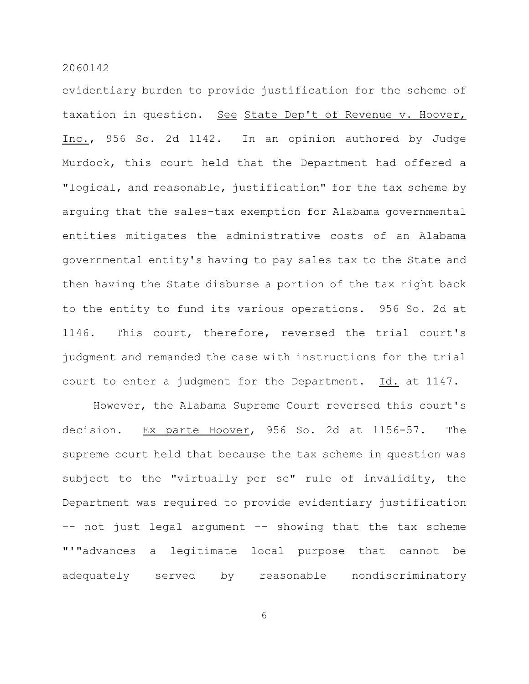evidentiary burden to provide justification for the scheme of taxation in question. See State Dep't of Revenue v. Hoover, Inc., 956 So. 2d 1142. In an opinion authored by Judge Murdock, this court held that the Department had offered a "logical, and reasonable, justification" for the tax scheme by arguing that the sales-tax exemption for Alabama governmental entities mitigates the administrative costs of an Alabama governmental entity's having to pay sales tax to the State and then having the State disburse a portion of the tax right back to the entity to fund its various operations. 956 So. 2d at 1146. This court, therefore, reversed the trial court's judgment and remanded the case with instructions for the trial court to enter a judgment for the Department. Id. at 1147.

However, the Alabama Supreme Court reversed this court's decision. Ex parte Hoover, 956 So. 2d at 1156-57. The supreme court held that because the tax scheme in question was subject to the "virtually per se" rule of invalidity, the Department was required to provide evidentiary justification –- not just legal argument –- showing that the tax scheme "'"advances a legitimate local purpose that cannot be adequately served by reasonable nondiscriminatory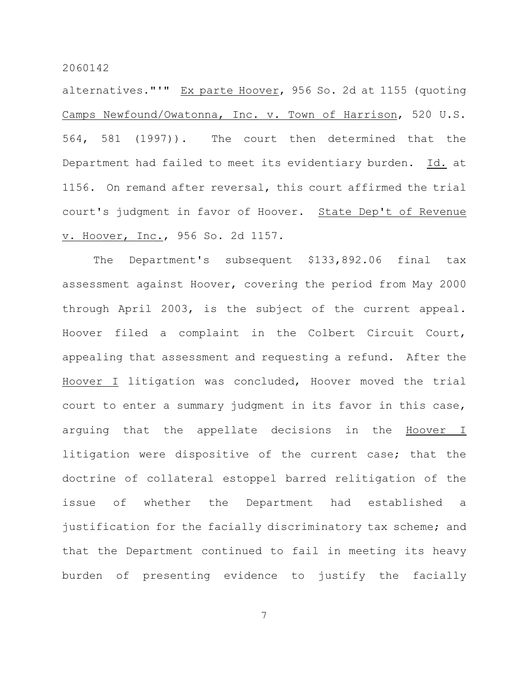alternatives."'" Ex parte Hoover, 956 So. 2d at 1155 (quoting Camps Newfound/Owatonna, Inc. v. Town of Harrison, 520 U.S. 564, 581 (1997)). The court then determined that the Department had failed to meet its evidentiary burden. Id. at 1156. On remand after reversal, this court affirmed the trial court's judgment in favor of Hoover. State Dep't of Revenue v. Hoover, Inc., 956 So. 2d 1157.

The Department's subsequent \$133,892.06 final tax assessment against Hoover, covering the period from May 2000 through April 2003, is the subject of the current appeal. Hoover filed a complaint in the Colbert Circuit Court, appealing that assessment and requesting a refund. After the Hoover I litigation was concluded, Hoover moved the trial court to enter a summary judgment in its favor in this case, arguing that the appellate decisions in the Hoover I litigation were dispositive of the current case; that the doctrine of collateral estoppel barred relitigation of the issue of whether the Department had established a justification for the facially discriminatory tax scheme; and that the Department continued to fail in meeting its heavy burden of presenting evidence to justify the facially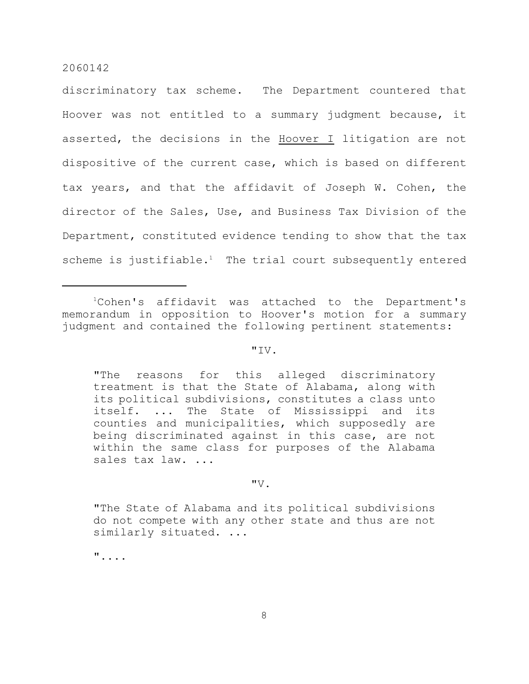discriminatory tax scheme. The Department countered that Hoover was not entitled to a summary judgment because, it asserted, the decisions in the Hoover I litigation are not dispositive of the current case, which is based on different tax years, and that the affidavit of Joseph W. Cohen, the director of the Sales, Use, and Business Tax Division of the Department, constituted evidence tending to show that the tax scheme is justifiable.<sup>1</sup> The trial court subsequently entered

#### $"TV.$

"The reasons for this alleged discriminatory treatment is that the State of Alabama, along with its political subdivisions, constitutes a class unto itself. ... The State of Mississippi and its counties and municipalities, which supposedly are being discriminated against in this case, are not within the same class for purposes of the Alabama sales tax law. ...

#### $"V.$

"The State of Alabama and its political subdivisions do not compete with any other state and thus are not similarly situated. ...

"....

<sup>&</sup>lt;sup>1</sup>Cohen's affidavit was attached to the Department's memorandum in opposition to Hoover's motion for a summary judgment and contained the following pertinent statements: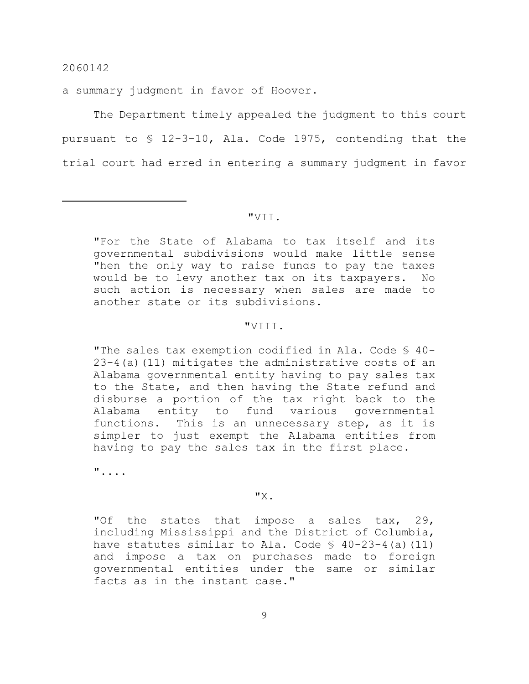a summary judgment in favor of Hoover.

The Department timely appealed the judgment to this court pursuant to § 12-3-10, Ala. Code 1975, contending that the trial court had erred in entering a summary judgment in favor

#### "VII.

"For the State of Alabama to tax itself and its governmental subdivisions would make little sense "hen the only way to raise funds to pay the taxes would be to levy another tax on its taxpayers. No such action is necessary when sales are made to another state or its subdivisions.

#### "VIII.

"The sales tax exemption codified in Ala. Code § 40-  $23-4$ (a)(11) mitigates the administrative costs of an Alabama governmental entity having to pay sales tax to the State, and then having the State refund and disburse a portion of the tax right back to the Alabama entity to fund various governmental functions. This is an unnecessary step, as it is simpler to just exempt the Alabama entities from having to pay the sales tax in the first place.

"....

#### "X.

"Of the states that impose a sales tax, 29, including Mississippi and the District of Columbia, have statutes similar to Ala. Code  $\S$  40-23-4(a)(11) and impose a tax on purchases made to foreign governmental entities under the same or similar facts as in the instant case."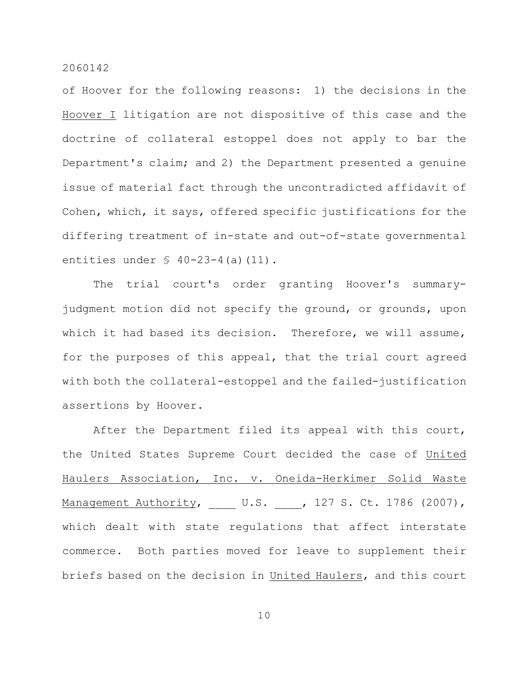of Hoover for the following reasons: 1) the decisions in the Hoover I litigation are not dispositive of this case and the doctrine of collateral estoppel does not apply to bar the Department's claim; and 2) the Department presented a genuine issue of material fact through the uncontradicted affidavit of Cohen, which, it says, offered specific justifications for the differing treatment of in-state and out-of-state governmental entities under  $\frac{6}{7}$  40-23-4(a)(11).

The trial court's order granting Hoover's summaryjudgment motion did not specify the ground, or grounds, upon which it had based its decision. Therefore, we will assume, for the purposes of this appeal, that the trial court agreed with both the collateral-estoppel and the failed-justification assertions by Hoover.

After the Department filed its appeal with this court, the United States Supreme Court decided the case of United Haulers Association, Inc. v. Oneida-Herkimer Solid Waste Management Authority, U.S. , 127 S. Ct. 1786 (2007), which dealt with state regulations that affect interstate commerce. Both parties moved for leave to supplement their briefs based on the decision in United Haulers, and this court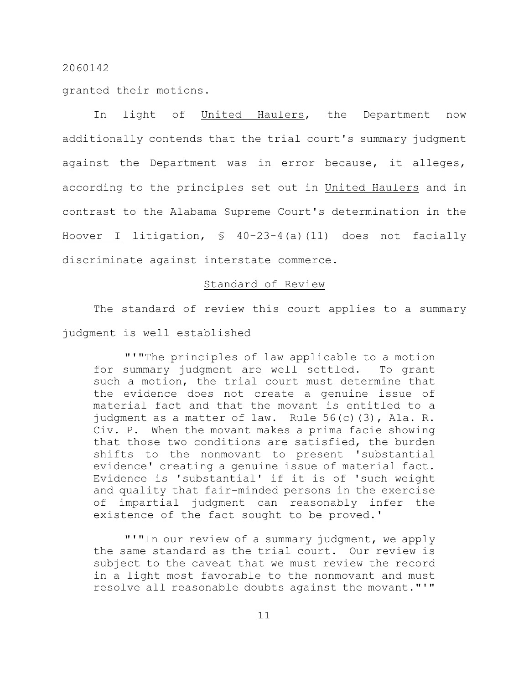granted their motions.

In light of United Haulers, the Department now additionally contends that the trial court's summary judgment against the Department was in error because, it alleges, according to the principles set out in United Haulers and in contrast to the Alabama Supreme Court's determination in the Hoover I litigation, § 40-23-4(a)(11) does not facially discriminate against interstate commerce.

## Standard of Review

The standard of review this court applies to a summary judgment is well established

"'"The principles of law applicable to a motion for summary judgment are well settled. To grant such a motion, the trial court must determine that the evidence does not create a genuine issue of material fact and that the movant is entitled to a judgment as a matter of law. Rule 56(c)(3), Ala. R. Civ. P. When the movant makes a prima facie showing that those two conditions are satisfied, the burden shifts to the nonmovant to present 'substantial evidence' creating a genuine issue of material fact. Evidence is 'substantial' if it is of 'such weight and quality that fair-minded persons in the exercise of impartial judgment can reasonably infer the existence of the fact sought to be proved.'

"'"In our review of a summary judgment, we apply the same standard as the trial court. Our review is subject to the caveat that we must review the record in a light most favorable to the nonmovant and must resolve all reasonable doubts against the movant."'"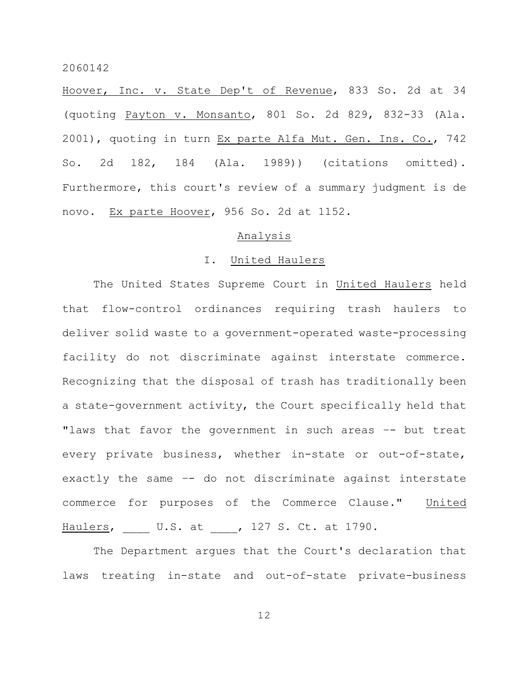Hoover, Inc. v. State Dep't of Revenue, 833 So. 2d at 34 (quoting Payton v. Monsanto, 801 So. 2d 829, 832-33 (Ala. 2001), quoting in turn Ex parte Alfa Mut. Gen. Ins. Co., 742 So. 2d 182, 184 (Ala. 1989)) (citations omitted). Furthermore, this court's review of a summary judgment is de novo. Ex parte Hoover, 956 So. 2d at 1152.

## Analysis

#### I. United Haulers

The United States Supreme Court in United Haulers held that flow-control ordinances requiring trash haulers to deliver solid waste to a government-operated waste-processing facility do not discriminate against interstate commerce. Recognizing that the disposal of trash has traditionally been a state-government activity, the Court specifically held that "laws that favor the government in such areas -- but treat every private business, whether in-state or out-of-state, exactly the same –- do not discriminate against interstate commerce for purposes of the Commerce Clause." United Haulers, U.S. at , 127 S. Ct. at 1790.

The Department argues that the Court's declaration that laws treating in-state and out-of-state private-business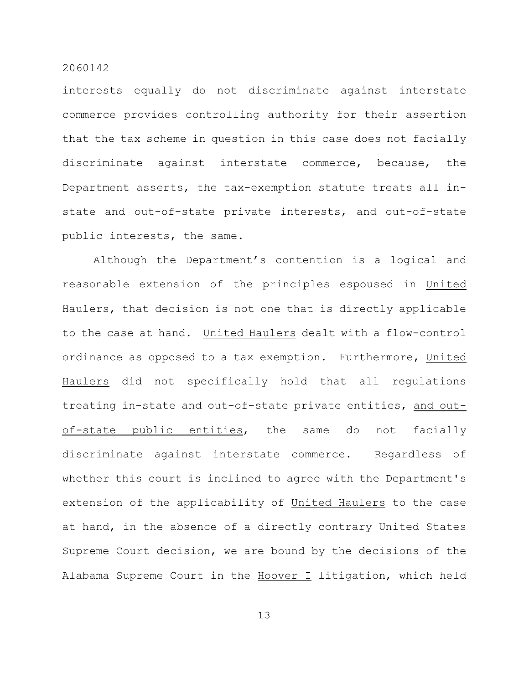interests equally do not discriminate against interstate commerce provides controlling authority for their assertion that the tax scheme in question in this case does not facially discriminate against interstate commerce, because, the Department asserts, the tax-exemption statute treats all instate and out-of-state private interests, and out-of-state public interests, the same.

Although the Department's contention is a logical and reasonable extension of the principles espoused in United Haulers, that decision is not one that is directly applicable to the case at hand. United Haulers dealt with a flow-control ordinance as opposed to a tax exemption. Furthermore, United Haulers did not specifically hold that all regulations treating in-state and out-of-state private entities, and outof-state public entities, the same do not facially discriminate against interstate commerce. Regardless of whether this court is inclined to agree with the Department's extension of the applicability of United Haulers to the case at hand, in the absence of a directly contrary United States Supreme Court decision, we are bound by the decisions of the Alabama Supreme Court in the Hoover I litigation, which held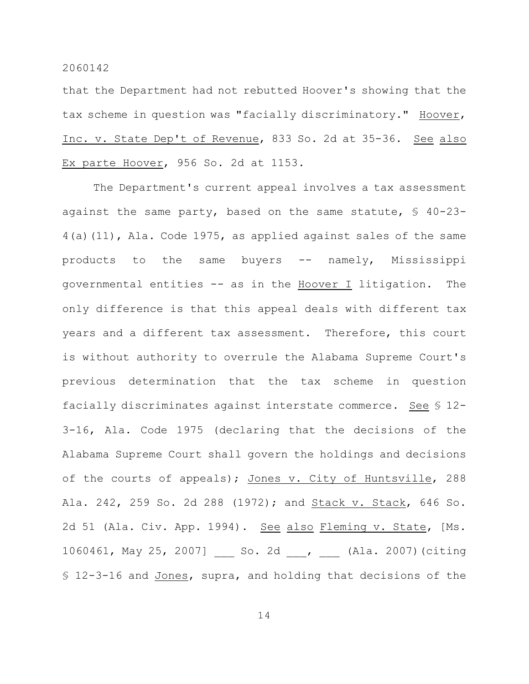that the Department had not rebutted Hoover's showing that the tax scheme in question was "facially discriminatory." Hoover, Inc. v. State Dep't of Revenue, 833 So. 2d at 35-36. See also Ex parte Hoover, 956 So. 2d at 1153.

The Department's current appeal involves a tax assessment against the same party, based on the same statute,  $\frac{1}{5}$  40-23-4(a)(11), Ala. Code 1975, as applied against sales of the same products to the same buyers -- namely, Mississippi governmental entities -- as in the Hoover I litigation. The only difference is that this appeal deals with different tax years and a different tax assessment. Therefore, this court is without authority to overrule the Alabama Supreme Court's previous determination that the tax scheme in question facially discriminates against interstate commerce. See § 12- 3-16, Ala. Code 1975 (declaring that the decisions of the Alabama Supreme Court shall govern the holdings and decisions of the courts of appeals); Jones v. City of Huntsville, 288 Ala. 242, 259 So. 2d 288 (1972); and Stack v. Stack, 646 So. 2d 51 (Ala. Civ. App. 1994). See also Fleming v. State, [Ms. 1060461, May 25, 2007] \_\_\_ So. 2d \_\_\_, (Ala. 2007)(citing § 12-3-16 and Jones, supra, and holding that decisions of the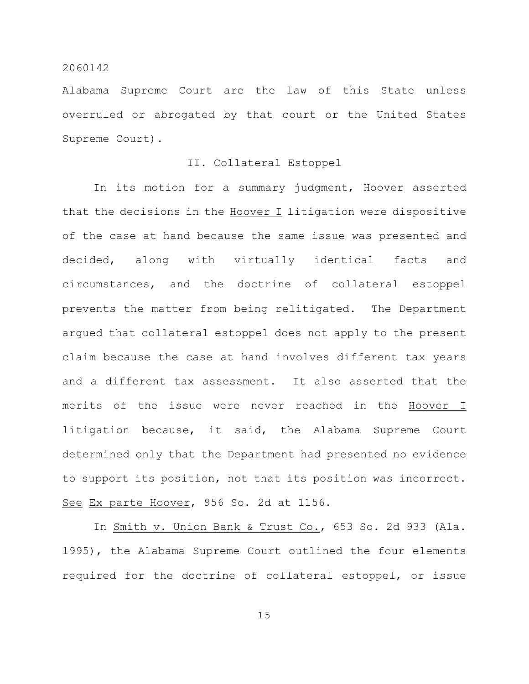Alabama Supreme Court are the law of this State unless overruled or abrogated by that court or the United States Supreme Court).

## II. Collateral Estoppel

In its motion for a summary judgment, Hoover asserted that the decisions in the Hoover I litigation were dispositive of the case at hand because the same issue was presented and decided, along with virtually identical facts and circumstances, and the doctrine of collateral estoppel prevents the matter from being relitigated. The Department argued that collateral estoppel does not apply to the present claim because the case at hand involves different tax years and a different tax assessment. It also asserted that the merits of the issue were never reached in the Hoover I litigation because, it said, the Alabama Supreme Court determined only that the Department had presented no evidence to support its position, not that its position was incorrect. See Ex parte Hoover, 956 So. 2d at 1156.

In Smith v. Union Bank & Trust Co., 653 So. 2d 933 (Ala. 1995), the Alabama Supreme Court outlined the four elements required for the doctrine of collateral estoppel, or issue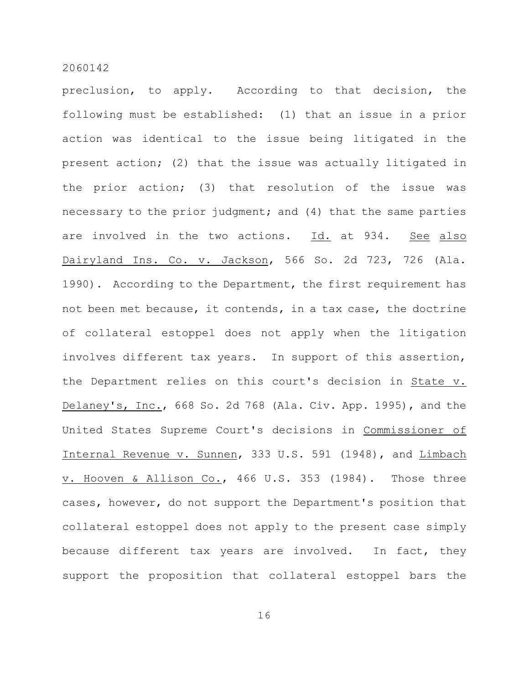preclusion, to apply. According to that decision, the following must be established: (1) that an issue in a prior action was identical to the issue being litigated in the present action; (2) that the issue was actually litigated in the prior action; (3) that resolution of the issue was necessary to the prior judgment; and (4) that the same parties are involved in the two actions. Id. at 934. See also Dairyland Ins. Co. v. Jackson, 566 So. 2d 723, 726 (Ala. 1990). According to the Department, the first requirement has not been met because, it contends, in a tax case, the doctrine of collateral estoppel does not apply when the litigation involves different tax years. In support of this assertion, the Department relies on this court's decision in State v. Delaney's, Inc., 668 So. 2d 768 (Ala. Civ. App. 1995), and the United States Supreme Court's decisions in Commissioner of Internal Revenue v. Sunnen, 333 U.S. 591 (1948), and Limbach v. Hooven & Allison Co., 466 U.S. 353 (1984). Those three cases, however, do not support the Department's position that collateral estoppel does not apply to the present case simply because different tax years are involved. In fact, they support the proposition that collateral estoppel bars the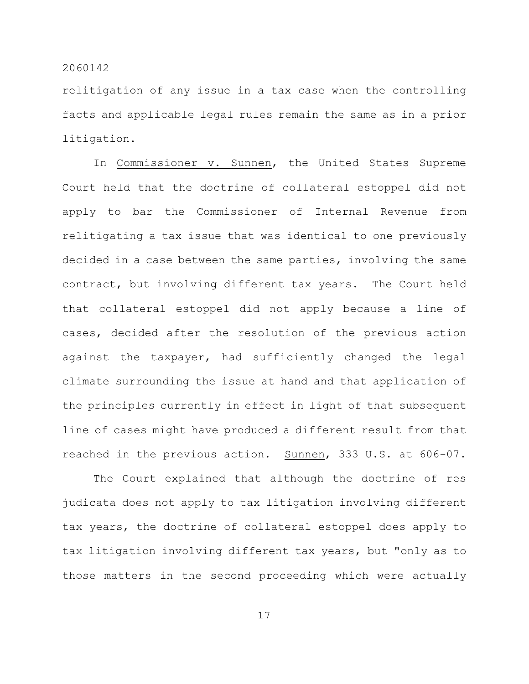relitigation of any issue in a tax case when the controlling facts and applicable legal rules remain the same as in a prior litigation.

In Commissioner v. Sunnen, the United States Supreme Court held that the doctrine of collateral estoppel did not apply to bar the Commissioner of Internal Revenue from relitigating a tax issue that was identical to one previously decided in a case between the same parties, involving the same contract, but involving different tax years. The Court held that collateral estoppel did not apply because a line of cases, decided after the resolution of the previous action against the taxpayer, had sufficiently changed the legal climate surrounding the issue at hand and that application of the principles currently in effect in light of that subsequent line of cases might have produced a different result from that reached in the previous action. Sunnen, 333 U.S. at 606-07.

The Court explained that although the doctrine of res judicata does not apply to tax litigation involving different tax years, the doctrine of collateral estoppel does apply to tax litigation involving different tax years, but "only as to those matters in the second proceeding which were actually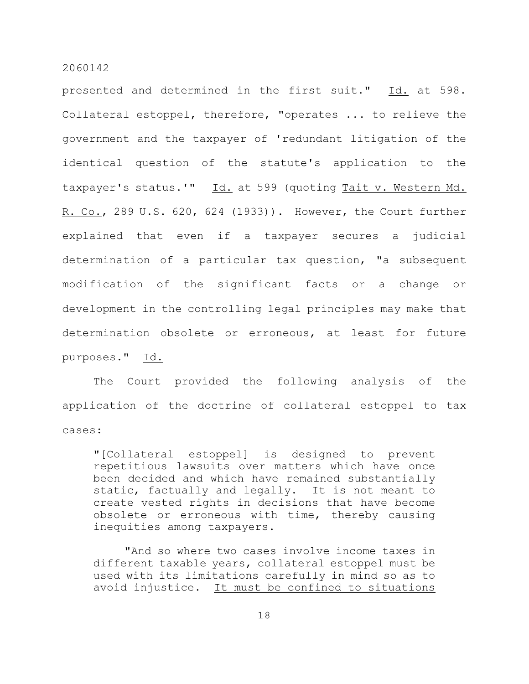presented and determined in the first suit." Id. at 598. Collateral estoppel, therefore, "operates ... to relieve the government and the taxpayer of 'redundant litigation of the identical question of the statute's application to the taxpayer's status.'" Id. at 599 (quoting Tait v. Western Md. R. Co., 289 U.S. 620, 624 (1933)). However, the Court further explained that even if a taxpayer secures a judicial determination of a particular tax question, "a subsequent modification of the significant facts or a change or development in the controlling legal principles may make that determination obsolete or erroneous, at least for future purposes." Id.

The Court provided the following analysis of the application of the doctrine of collateral estoppel to tax cases:

"[Collateral estoppel] is designed to prevent repetitious lawsuits over matters which have once been decided and which have remained substantially static, factually and legally. It is not meant to create vested rights in decisions that have become obsolete or erroneous with time, thereby causing inequities among taxpayers.

"And so where two cases involve income taxes in different taxable years, collateral estoppel must be used with its limitations carefully in mind so as to avoid injustice. It must be confined to situations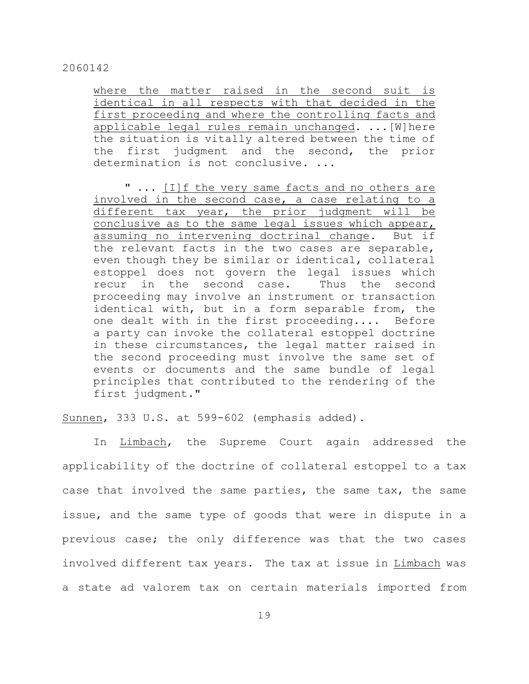where the matter raised in the second suit is identical in all respects with that decided in the first proceeding and where the controlling facts and applicable legal rules remain unchanged. ...[W]here the situation is vitally altered between the time of the first judgment and the second, the prior determination is not conclusive. ...

" ... [I]f the very same facts and no others are involved in the second case, a case relating to a different tax year, the prior judgment will be conclusive as to the same legal issues which appear, assuming no intervening doctrinal change. But if the relevant facts in the two cases are separable, even though they be similar or identical, collateral estoppel does not govern the legal issues which recur in the second case. Thus the second proceeding may involve an instrument or transaction identical with, but in a form separable from, the one dealt with in the first proceeding.... Before a party can invoke the collateral estoppel doctrine in these circumstances, the legal matter raised in the second proceeding must involve the same set of events or documents and the same bundle of legal principles that contributed to the rendering of the first judgment."

Sunnen, 333 U.S. at 599-602 (emphasis added).

In Limbach, the Supreme Court again addressed the applicability of the doctrine of collateral estoppel to a tax case that involved the same parties, the same tax, the same issue, and the same type of goods that were in dispute in a previous case; the only difference was that the two cases involved different tax years. The tax at issue in Limbach was a state ad valorem tax on certain materials imported from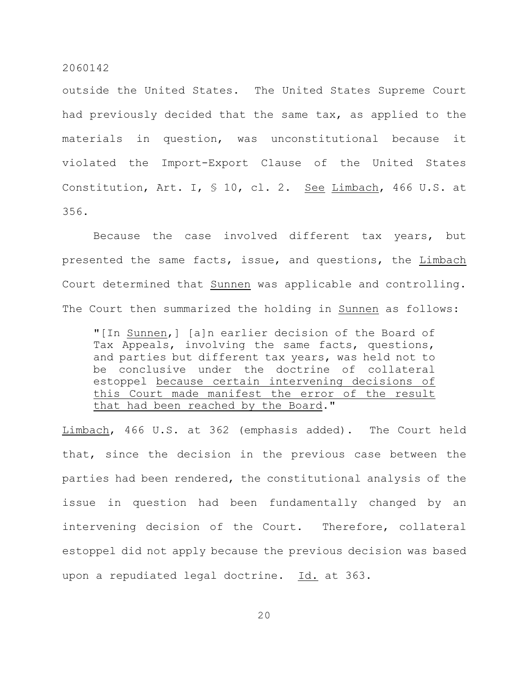outside the United States. The United States Supreme Court had previously decided that the same tax, as applied to the materials in question, was unconstitutional because it violated the Import-Export Clause of the United States Constitution, Art. I, § 10, cl. 2. See Limbach, 466 U.S. at 356.

Because the case involved different tax years, but presented the same facts, issue, and questions, the Limbach Court determined that Sunnen was applicable and controlling. The Court then summarized the holding in Sunnen as follows:

"[In Sunnen,] [a]n earlier decision of the Board of Tax Appeals, involving the same facts, questions, and parties but different tax years, was held not to be conclusive under the doctrine of collateral estoppel because certain intervening decisions of this Court made manifest the error of the result that had been reached by the Board."

Limbach, 466 U.S. at 362 (emphasis added). The Court held that, since the decision in the previous case between the parties had been rendered, the constitutional analysis of the issue in question had been fundamentally changed by an intervening decision of the Court. Therefore, collateral estoppel did not apply because the previous decision was based upon a repudiated legal doctrine. Id. at 363.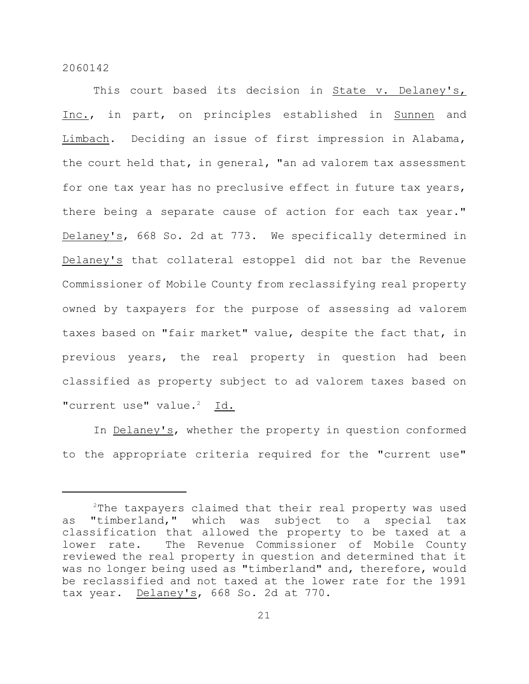This court based its decision in State v. Delaney's, Inc., in part, on principles established in Sunnen and Limbach. Deciding an issue of first impression in Alabama, the court held that, in general, "an ad valorem tax assessment for one tax year has no preclusive effect in future tax years, there being a separate cause of action for each tax year." Delaney's, 668 So. 2d at 773. We specifically determined in Delaney's that collateral estoppel did not bar the Revenue Commissioner of Mobile County from reclassifying real property owned by taxpayers for the purpose of assessing ad valorem taxes based on "fair market" value, despite the fact that, in previous years, the real property in question had been classified as property subject to ad valorem taxes based on "current use" value.<sup>2</sup> Id.

In Delaney's, whether the property in question conformed to the appropriate criteria required for the "current use"

 $2$ The taxpayers claimed that their real property was used as "timberland," which was subject to a special tax classification that allowed the property to be taxed at a lower rate. The Revenue Commissioner of Mobile County reviewed the real property in question and determined that it was no longer being used as "timberland" and, therefore, would be reclassified and not taxed at the lower rate for the 1991 tax year. Delaney's, 668 So. 2d at 770.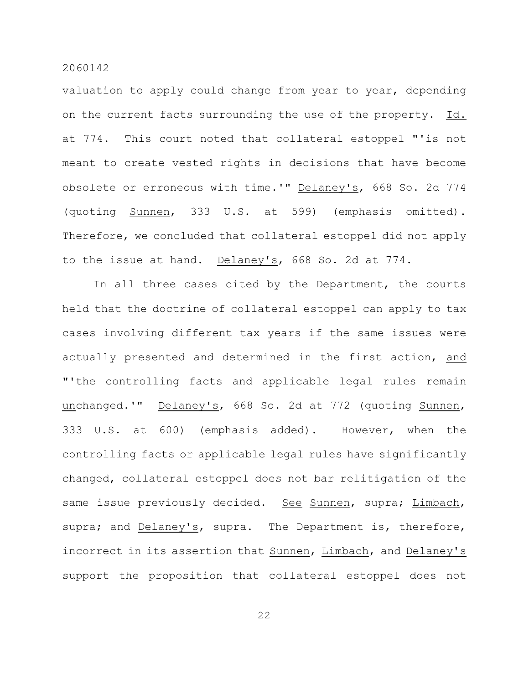valuation to apply could change from year to year, depending on the current facts surrounding the use of the property. Id. at 774. This court noted that collateral estoppel "'is not meant to create vested rights in decisions that have become obsolete or erroneous with time.'" Delaney's, 668 So. 2d 774 (quoting Sunnen, 333 U.S. at 599) (emphasis omitted). Therefore, we concluded that collateral estoppel did not apply to the issue at hand. Delaney's, 668 So. 2d at 774.

In all three cases cited by the Department, the courts held that the doctrine of collateral estoppel can apply to tax cases involving different tax years if the same issues were actually presented and determined in the first action, and "'the controlling facts and applicable legal rules remain unchanged.'" Delaney's, 668 So. 2d at 772 (quoting Sunnen, 333 U.S. at 600) (emphasis added). However, when the controlling facts or applicable legal rules have significantly changed, collateral estoppel does not bar relitigation of the same issue previously decided. See Sunnen, supra; Limbach, supra; and Delaney's, supra. The Department is, therefore, incorrect in its assertion that Sunnen, Limbach, and Delaney's support the proposition that collateral estoppel does not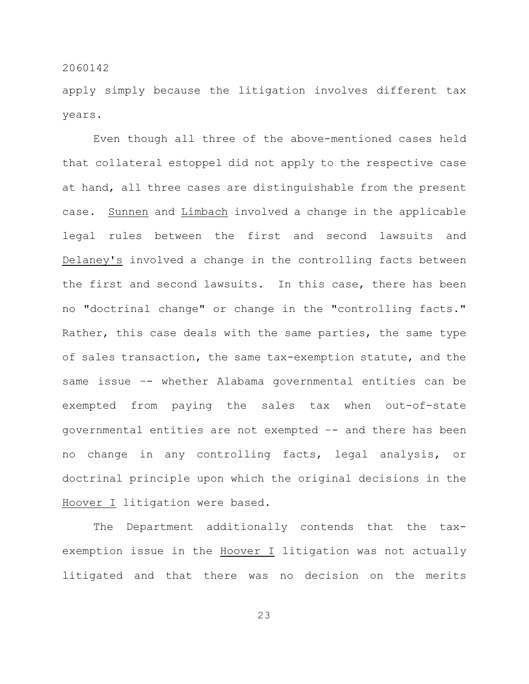apply simply because the litigation involves different tax years.

Even though all three of the above-mentioned cases held that collateral estoppel did not apply to the respective case at hand, all three cases are distinguishable from the present case. Sunnen and Limbach involved a change in the applicable legal rules between the first and second lawsuits and Delaney's involved a change in the controlling facts between the first and second lawsuits. In this case, there has been no "doctrinal change" or change in the "controlling facts." Rather, this case deals with the same parties, the same type of sales transaction, the same tax-exemption statute, and the same issue –- whether Alabama governmental entities can be exempted from paying the sales tax when out-of-state governmental entities are not exempted –- and there has been no change in any controlling facts, legal analysis, or doctrinal principle upon which the original decisions in the Hoover I litigation were based.

The Department additionally contends that the taxexemption issue in the Hoover I litigation was not actually litigated and that there was no decision on the merits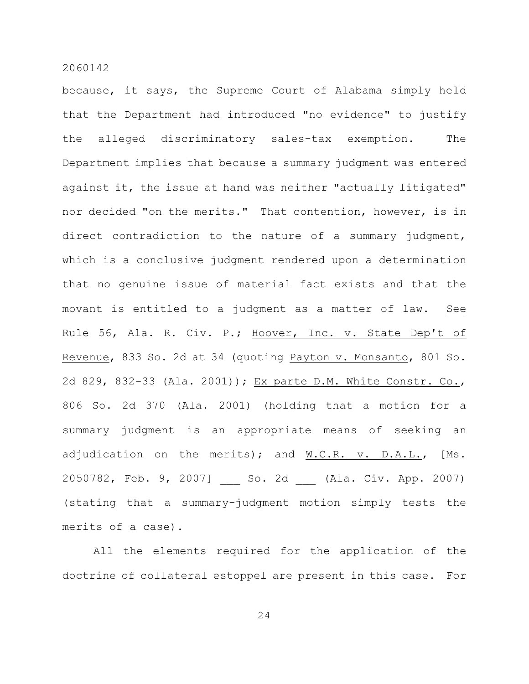because, it says, the Supreme Court of Alabama simply held that the Department had introduced "no evidence" to justify the alleged discriminatory sales-tax exemption. The Department implies that because a summary judgment was entered against it, the issue at hand was neither "actually litigated" nor decided "on the merits." That contention, however, is in direct contradiction to the nature of a summary judgment, which is a conclusive judgment rendered upon a determination that no genuine issue of material fact exists and that the movant is entitled to a judgment as a matter of law. See Rule 56, Ala. R. Civ. P.; Hoover, Inc. v. State Dep't of Revenue, 833 So. 2d at 34 (quoting Payton v. Monsanto, 801 So. 2d 829, 832-33 (Ala. 2001)); Ex parte D.M. White Constr. Co., 806 So. 2d 370 (Ala. 2001) (holding that a motion for a summary judgment is an appropriate means of seeking an adjudication on the merits); and W.C.R. v. D.A.L., [Ms. 2050782, Feb. 9, 2007] So. 2d (Ala. Civ. App. 2007) (stating that a summary-judgment motion simply tests the merits of a case).

All the elements required for the application of the doctrine of collateral estoppel are present in this case. For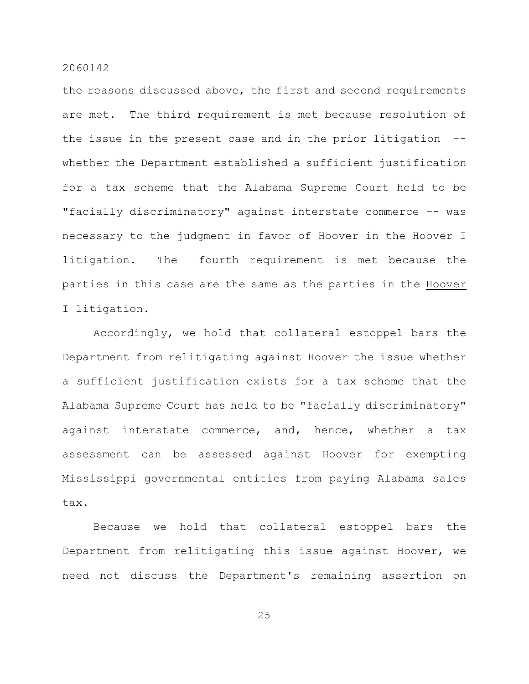the reasons discussed above, the first and second requirements are met. The third requirement is met because resolution of the issue in the present case and in the prior litigation – whether the Department established a sufficient justification for a tax scheme that the Alabama Supreme Court held to be "facially discriminatory" against interstate commerce -- was necessary to the judgment in favor of Hoover in the Hoover I litigation. The fourth requirement is met because the parties in this case are the same as the parties in the Hoover I litigation.

Accordingly, we hold that collateral estoppel bars the Department from relitigating against Hoover the issue whether a sufficient justification exists for a tax scheme that the Alabama Supreme Court has held to be "facially discriminatory" against interstate commerce, and, hence, whether a tax assessment can be assessed against Hoover for exempting Mississippi governmental entities from paying Alabama sales tax.

Because we hold that collateral estoppel bars the Department from relitigating this issue against Hoover, we need not discuss the Department's remaining assertion on